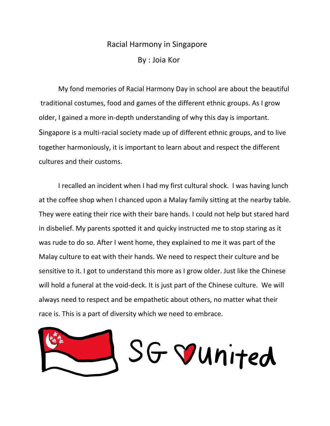## Racial Harmony in Singapore By : Joia Kor

My fond memories of Racial Harmony Day in school are about the beautiful traditional costumes, food and games of the different ethnic groups. As I grow older, I gained a more in-depth understanding of why this day is important. Singapore is a multi-racial society made up of different ethnic groups, and to live together harmoniously, it is important to learn about and respect the different cultures and their customs.

I recalled an incident when I had my first cultural shock. I was having lunch at the coffee shop when I chanced upon a Malay family sitting at the nearby table. They were eating their rice with their bare hands. I could not help but stared hard in disbelief. My parents spotted it and quicky instructed me to stop staring as it was rude to do so. After I went home, they explained to me it was part of the Malay culture to eat with their hands. We need to respect their culture and be sensitive to it. I got to understand this more as I grow older. Just like the Chinese will hold a funeral at the void-deck. It is just part of the Chinese culture. We will always need to respect and be empathetic about others, no matter what their race is. This is a part of diversity which we need to embrace.